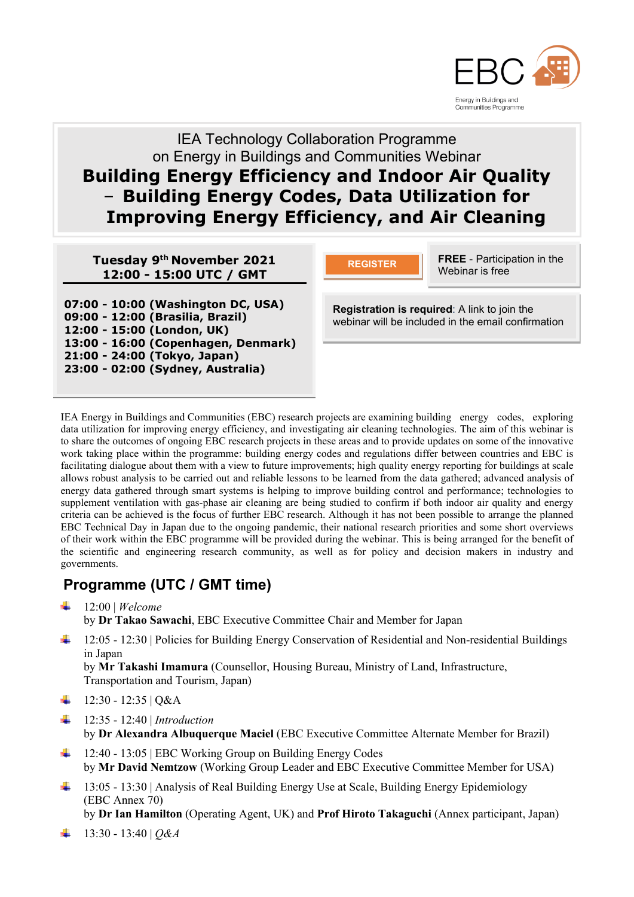

# IEA Technology Collaboration Programme on Energy in Buildings and Communities Webinar **Building Energy Efficiency and Indoor Air Quality** – **Building Energy Codes, Data Utilization for Improving Energy Efficiency, and Air Cleaning Technologies –**

**Tuesday 9 th November 2021 12:00 - 15:00 UTC / GMT**

**07:00 - 10:00 (Washington DC, USA) 09:00 - 12:00 (Brasilia, Brazil) 12:00 - 15:00 (London, UK) 13:00 - 16:00 (Copenhagen, Denmark) 21:00 - 24:00 (Tokyo, Japan) 23:00 - 02:00 (Sydney, Australia)**

**FREE** - Participation in the **REGISTER REGISTER REGISTER REGISTER** 

**Registration is required**: A link to join the [webinar will be included in the email confirmation](https://inive.webex.com/inive/onstage/g.php?MTID=eba5ecabcd0997a6a26005b2c7faa7372)

IEA Energy in Buildings and Communities (EBC) research projects are examining building energy codes, exploring data utilization for improving energy efficiency, and investigating air cleaning technologies. The aim of this webinar is to share the outcomes of ongoing EBC research projects in these areas and to provide updates on some of the innovative work taking place within the programme: building energy codes and regulations differ between countries and EBC is facilitating dialogue about them with a view to future improvements; high quality energy reporting for buildings at scale allows robust analysis to be carried out and reliable lessons to be learned from the data gathered; advanced analysis of energy data gathered through smart systems is helping to improve building control and performance; technologies to supplement ventilation with gas-phase air cleaning are being studied to confirm if both indoor air quality and energy criteria can be achieved is the focus of further EBC research. Although it has not been possible to arrange the planned EBC Technical Day in Japan due to the ongoing pandemic, their national research priorities and some short overviews of their work within the EBC programme will be provided during the webinar. This is being arranged for the benefit of the scientific and engineering research community, as well as for policy and decision makers in industry and governments.

## **Programme (UTC / GMT time)**

12:00 | *Welcome*

by **Dr Takao Sawachi**, EBC Executive Committee Chair and Member for Japan

<sup>1</sup> 12:05 - 12:30 | Policies for Building Energy Conservation of Residential and Non-residential Buildings in Japan

by **Mr Takashi Imamura** (Counsellor, Housing Bureau, Ministry of Land, Infrastructure, Transportation and Tourism, Japan)

- $\downarrow$  12:30 12:35 | Q&A
- 12:35 12:40 | *Introduction* by **Dr Alexandra Albuquerque Maciel** (EBC Executive Committee Alternate Member for Brazil)
- $\downarrow$  12:40 13:05 | EBC Working Group on Building Energy Codes by **Mr David Nemtzow** (Working Group Leader and EBC Executive Committee Member for USA)
- <sup>1</sup> 13:05 13:30 | Analysis of Real Building Energy Use at Scale, Building Energy Epidemiology (EBC Annex 70)

by **Dr Ian Hamilton** (Operating Agent, UK) and **Prof Hiroto Takaguchi** (Annex participant, Japan)

4 13:30 - 13:40 | *Q&A*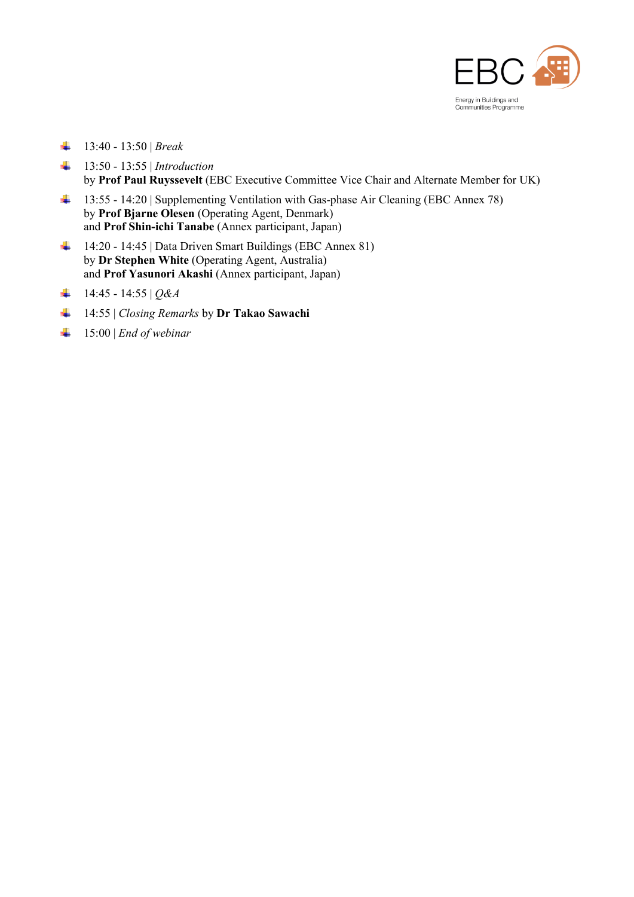

- 13:40 13:50 | *Break*
- 13:50 13:55 | *Introduction* by **Prof Paul Ruyssevelt** (EBC Executive Committee Vice Chair and Alternate Member for UK)
- 13:55 14:20 | Supplementing Ventilation with Gas-phase Air Cleaning (EBC Annex 78) by **Prof Bjarne Olesen** (Operating Agent, Denmark) and **Prof Shin-ichi Tanabe** (Annex participant, Japan)
- 14:20 14:45 | Data Driven Smart Buildings (EBC Annex 81) by **Dr Stephen White** (Operating Agent, Australia) and **Prof Yasunori Akashi** (Annex participant, Japan)
- $\downarrow$  14:45 14:55 | Q&A
- 14:55 | *Closing Remarks* by **Dr Takao Sawachi**
- $\frac{1}{2}$  15:00 | *End of webinar*